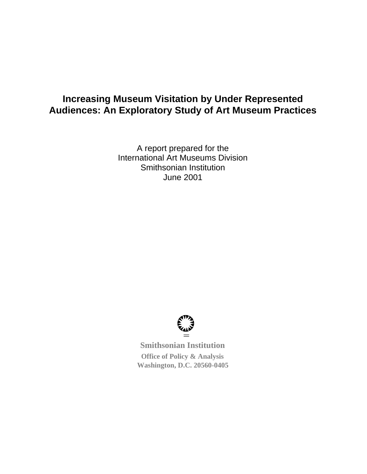# **Increasing Museum Visitation by Under Represented Audiences: An Exploratory Study of Art Museum Practices**

A report prepared for the International Art Museums Division Smithsonian Institution June 2001



**Smithsonian Institution Office of Policy & Analysis Washington, D.C. 20560-0405**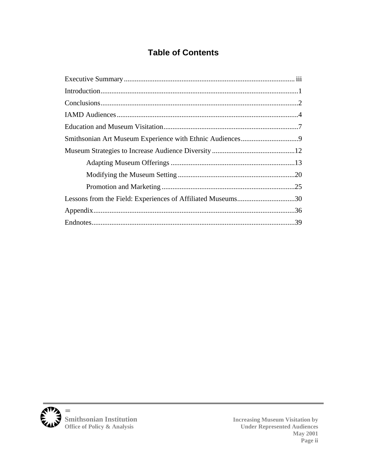# **Table of Contents**



**Smithsonian Institution Increasing Museum Visitation by Under Represented Audiences May 2001 Page ii**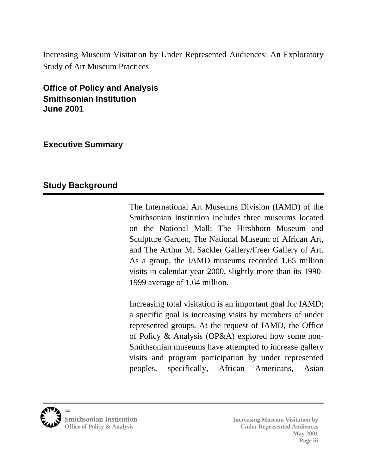Increasing Museum Visitation by Under Represented Audiences: An Exploratory Study of Art Museum Practices

**Office of Policy and Analysis Smithsonian Institution June 2001** 

**Executive Summary** 

### **Study Background**

The International Art Museums Division (IAMD) of the Smithsonian Institution includes three museums located on the National Mall: The Hirshhorn Museum and Sculpture Garden, The National Museum of African Art, and The Arthur M. Sackler Gallery/Freer Gallery of Art. As a group, the IAMD museums recorded 1.65 million visits in calendar year 2000, slightly more than its 1990- 1999 average of 1.64 million.

Increasing total visitation is an important goal for IAMD; a specific goal is increasing visits by members of under represented groups. At the request of IAMD, the Office of Policy & Analysis (OP&A) explored how some non-Smithsonian museums have attempted to increase gallery visits and program participation by under represented peoples, specifically, African Americans, Asian

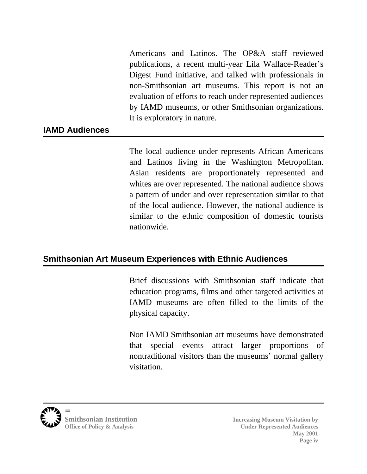Americans and Latinos. The OP&A staff reviewed publications, a recent multi-year Lila Wallace-Reader's Digest Fund initiative, and talked with professionals in non-Smithsonian art museums. This report is not an evaluation of efforts to reach under represented audiences by IAMD museums, or other Smithsonian organizations. It is exploratory in nature.

### **IAMD Audiences**

The local audience under represents African Americans and Latinos living in the Washington Metropolitan. Asian residents are proportionately represented and whites are over represented. The national audience shows a pattern of under and over representation similar to that of the local audience. However, the national audience is similar to the ethnic composition of domestic tourists nationwide.

### **Smithsonian Art Museum Experiences with Ethnic Audiences**

Brief discussions with Smithsonian staff indicate that education programs, films and other targeted activities at IAMD museums are often filled to the limits of the physical capacity.

Non IAMD Smithsonian art museums have demonstrated that special events attract larger proportions of nontraditional visitors than the museums' normal gallery visitation.

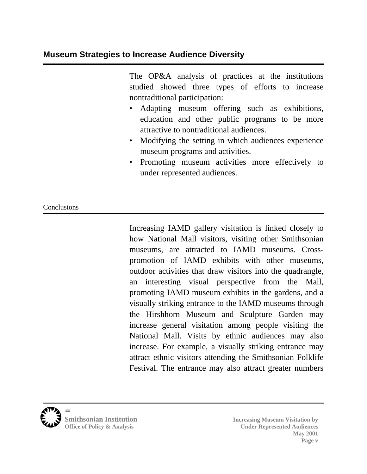### **Museum Strategies to Increase Audience Diversity**

The OP&A analysis of practices at the institutions studied showed three types of efforts to increase nontraditional participation:

- Adapting museum offering such as exhibitions, education and other public programs to be more attractive to nontraditional audiences.
- Modifying the setting in which audiences experience museum programs and activities.
- Promoting museum activities more effectively to under represented audiences.

#### **Conclusions**

Increasing IAMD gallery visitation is linked closely to how National Mall visitors, visiting other Smithsonian museums, are attracted to IAMD museums. Crosspromotion of IAMD exhibits with other museums, outdoor activities that draw visitors into the quadrangle, an interesting visual perspective from the Mall, promoting IAMD museum exhibits in the gardens, and a visually striking entrance to the IAMD museums through the Hirshhorn Museum and Sculpture Garden may increase general visitation among people visiting the National Mall. Visits by ethnic audiences may also increase. For example, a visually striking entrance may attract ethnic visitors attending the Smithsonian Folklife Festival. The entrance may also attract greater numbers



**Office of Policy & Analysis Contract Policy Analysis Contract Policy Analysis Contract Policy Analysis Contract Policy Analysis Contract Policy Analysis Contract Policy Analysis Contract Policy Analysis Contract Policy An May 2001 Page v**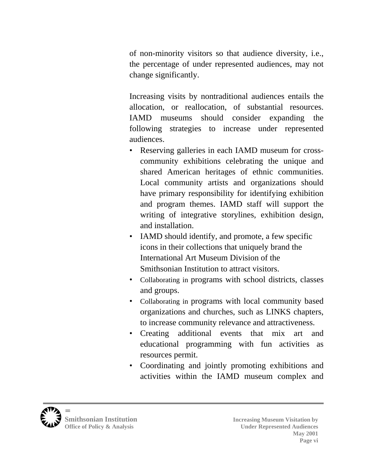of non-minority visitors so that audience diversity, i.e., the percentage of under represented audiences, may not change significantly.

Increasing visits by nontraditional audiences entails the allocation, or reallocation, of substantial resources. IAMD museums should consider expanding the following strategies to increase under represented audiences.

- Reserving galleries in each IAMD museum for crosscommunity exhibitions celebrating the unique and shared American heritages of ethnic communities. Local community artists and organizations should have primary responsibility for identifying exhibition and program themes. IAMD staff will support the writing of integrative storylines, exhibition design, and installation.
- IAMD should identify, and promote, a few specific icons in their collections that uniquely brand the International Art Museum Division of the Smithsonian Institution to attract visitors.
- Collaborating in programs with school districts, classes and groups.
- Collaborating in programs with local community based organizations and churches, such as LINKS chapters, to increase community relevance and attractiveness.
- Creating additional events that mix art and educational programming with fun activities as resources permit.
- Coordinating and jointly promoting exhibitions and activities within the IAMD museum complex and

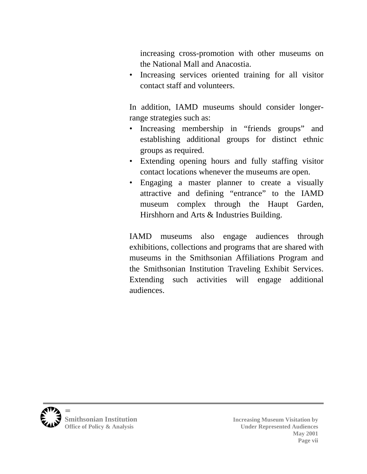increasing cross-promotion with other museums on the National Mall and Anacostia.

• Increasing services oriented training for all visitor contact staff and volunteers.

In addition, IAMD museums should consider longerrange strategies such as:

- Increasing membership in "friends groups" and establishing additional groups for distinct ethnic groups as required.
- Extending opening hours and fully staffing visitor contact locations whenever the museums are open.
- Engaging a master planner to create a visually attractive and defining "entrance" to the IAMD museum complex through the Haupt Garden, Hirshhorn and Arts & Industries Building.

IAMD museums also engage audiences through exhibitions, collections and programs that are shared with museums in the Smithsonian Affiliations Program and the Smithsonian Institution Traveling Exhibit Services. Extending such activities will engage additional audiences.



**Office of Policy & Analysis Contract Policy Analysis Contract Policy Analysis Contract Policy Analysis Contract Policy Analysis Contract Policy Analysis Contract Policy Analysis Contract Policy Analysis Contract Policy An May 2001 Page vii**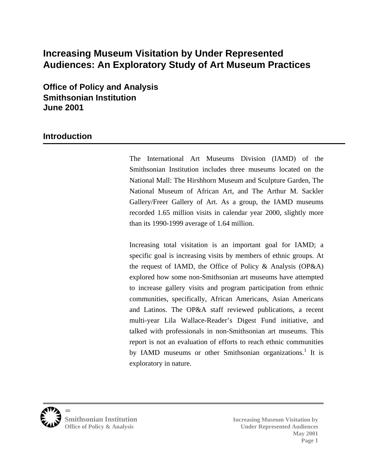# **Increasing Museum Visitation by Under Represented Audiences: An Exploratory Study of Art Museum Practices**

**Office of Policy and Analysis Smithsonian Institution June 2001** 

### **Introduction**

The International Art Museums Division (IAMD) of the Smithsonian Institution includes three museums located on the National Mall: The Hirshhorn Museum and Sculpture Garden, The National Museum of African Art, and The Arthur M. Sackler Gallery/Freer Gallery of Art. As a group, the IAMD museums recorded 1.65 million visits in calendar year 2000, slightly more than its 1990-1999 average of 1.64 million.

Increasing total visitation is an important goal for IAMD; a specific goal is increasing visits by members of ethnic groups. At the request of IAMD, the Office of Policy & Analysis (OP&A) explored how some non-Smithsonian art museums have attempted to increase gallery visits and program participation from ethnic communities, specifically, African Americans, Asian Americans and Latinos. The OP&A staff reviewed publications, a recent multi-year Lila Wallace-Reader's Digest Fund initiative, and talked with professionals in non-Smithsonian art museums. This report is not an evaluation of efforts to reach ethnic communities by IAMD museums or other Smithsonian organizations.<sup>1</sup> It is exploratory in nature.



**Office of Policy & Analysis Contract Policy Analysis Contract Policy Analysis Contract Policy Analysis Contract Policy Analysis Contract Policy Analysis Contract Policy Analysis Contract Policy Analysis Contract Policy An May 2001 Page 1**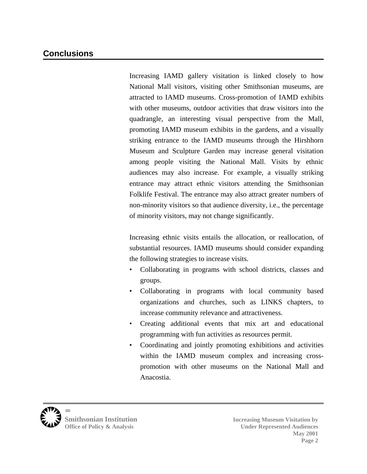Increasing IAMD gallery visitation is linked closely to how National Mall visitors, visiting other Smithsonian museums, are attracted to IAMD museums. Cross-promotion of IAMD exhibits with other museums, outdoor activities that draw visitors into the quadrangle, an interesting visual perspective from the Mall, promoting IAMD museum exhibits in the gardens, and a visually striking entrance to the IAMD museums through the Hirshhorn Museum and Sculpture Garden may increase general visitation among people visiting the National Mall. Visits by ethnic audiences may also increase. For example, a visually striking entrance may attract ethnic visitors attending the Smithsonian Folklife Festival. The entrance may also attract greater numbers of non-minority visitors so that audience diversity, i.e., the percentage of minority visitors, may not change significantly.

Increasing ethnic visits entails the allocation, or reallocation, of substantial resources. IAMD museums should consider expanding the following strategies to increase visits.

- Collaborating in programs with school districts, classes and groups.
- Collaborating in programs with local community based organizations and churches, such as LINKS chapters, to increase community relevance and attractiveness.
- Creating additional events that mix art and educational programming with fun activities as resources permit.
- Coordinating and jointly promoting exhibitions and activities within the IAMD museum complex and increasing crosspromotion with other museums on the National Mall and Anacostia.

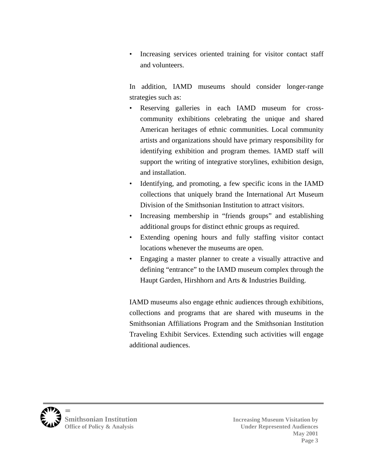• Increasing services oriented training for visitor contact staff and volunteers.

In addition, IAMD museums should consider longer-range strategies such as:

- Reserving galleries in each IAMD museum for crosscommunity exhibitions celebrating the unique and shared American heritages of ethnic communities. Local community artists and organizations should have primary responsibility for identifying exhibition and program themes. IAMD staff will support the writing of integrative storylines, exhibition design, and installation.
- Identifying, and promoting, a few specific icons in the IAMD collections that uniquely brand the International Art Museum Division of the Smithsonian Institution to attract visitors.
- Increasing membership in "friends groups" and establishing additional groups for distinct ethnic groups as required.
- Extending opening hours and fully staffing visitor contact locations whenever the museums are open.
- Engaging a master planner to create a visually attractive and defining "entrance" to the IAMD museum complex through the Haupt Garden, Hirshhorn and Arts & Industries Building.

IAMD museums also engage ethnic audiences through exhibitions, collections and programs that are shared with museums in the Smithsonian Affiliations Program and the Smithsonian Institution Traveling Exhibit Services. Extending such activities will engage additional audiences.



**Office of Policy & Analysis Contract Policy Analysis Contract Policy Analysis Contract Policy Analysis Contract Policy Analysis Contract Policy Analysis Contract Policy Analysis Contract Policy Analysis Contract Policy An May 2001 Page 3**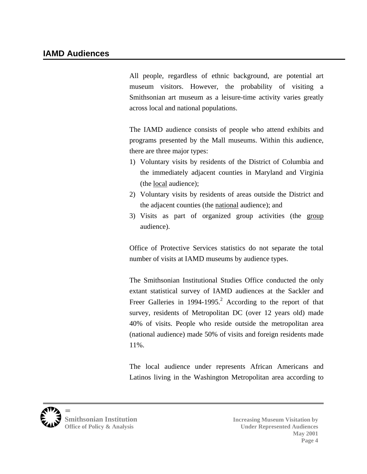All people, regardless of ethnic background, are potential art museum visitors. However, the probability of visiting a Smithsonian art museum as a leisure-time activity varies greatly across local and national populations.

The IAMD audience consists of people who attend exhibits and programs presented by the Mall museums. Within this audience, there are three major types:

- 1) Voluntary visits by residents of the District of Columbia and the immediately adjacent counties in Maryland and Virginia (the local audience);
- 2) Voluntary visits by residents of areas outside the District and the adjacent counties (the national audience); and
- 3) Visits as part of organized group activities (the group audience).

Office of Protective Services statistics do not separate the total number of visits at IAMD museums by audience types.

The Smithsonian Institutional Studies Office conducted the only extant statistical survey of IAMD audiences at the Sackler and Freer Galleries in 1994-1995.<sup>2</sup> According to the report of that survey, residents of Metropolitan DC (over 12 years old) made 40% of visits. People who reside outside the metropolitan area (national audience) made 50% of visits and foreign residents made 11%.

The local audience under represents African Americans and Latinos living in the Washington Metropolitan area according to

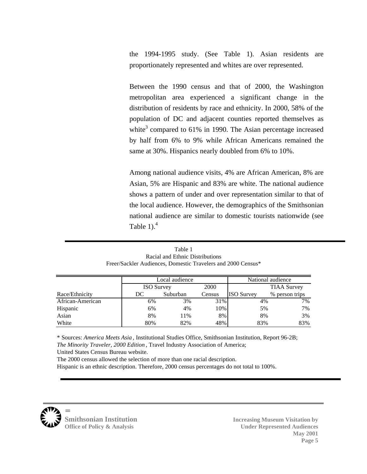the 1994-1995 study. (See Table 1). Asian residents are proportionately represented and whites are over represented.

Between the 1990 census and that of 2000, the Washington metropolitan area experienced a significant change in the distribution of residents by race and ethnicity. In 2000, 58% of the population of DC and adjacent counties reported themselves as white<sup>3</sup> compared to 61% in 1990. The Asian percentage increased by half from 6% to 9% while African Americans remained the same at 30%. Hispanics nearly doubled from 6% to 10%.

Among national audience visits, 4% are African American, 8% are Asian, 5% are Hispanic and 83% are white. The national audience shows a pattern of under and over representation similar to that of the local audience. However, the demographics of the Smithsonian national audience are similar to domestic tourists nationwide (see Table 1). $4$ 

|                  | Local audience    |          |        | National audience |                    |
|------------------|-------------------|----------|--------|-------------------|--------------------|
|                  | <b>ISO</b> Survey |          | 2000   |                   | <b>TIAA Survey</b> |
| Race/Ethnicity   | DC                | Suburban | Census | <b>ISO Survey</b> | % person trips     |
| African-American | 6%                | 3%       | 31%    | 4%                | 7%                 |
| Hispanic         | 6%                | 4%       | 10%    | 5%                | 7%                 |
| Asian            | 8%                | 11%      | 8%     | 8%                | 3%                 |
| White            | 80%               | 82%      | 48%    | 83%               | 83%                |

Table 1 Racial and Ethnic Distributions Freer/Sackler Audiences, Domestic Travelers and 2000 Census\*

\* Sources: *America Meets Asia* , Institutional Studies Office, Smithsonian Institution, Report 96-2B; *The Minority Traveler, 2000 Edition* , Travel Industry Association of America;

United States Census Bureau website.

The 2000 census allowed the selection of more than one racial description.

Hispanic is an ethnic description. Therefore, 2000 census percentages do not total to 100%.



**Office of Policy & Analysis Contract Policy Analysis Contract Policy Analysis Contract Policy Analysis Contract Policy Analysis Contract Policy Analysis Contract Policy Analysis Contract Policy Analysis Contract Policy An May 2001 Page 5**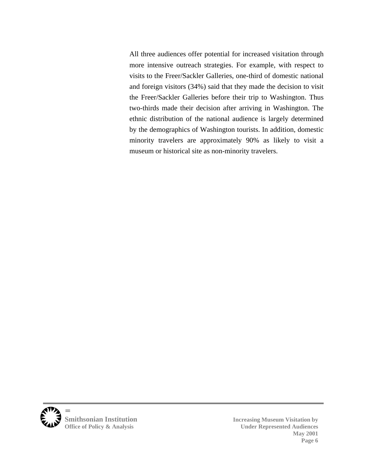All three audiences offer potential for increased visitation through more intensive outreach strategies. For example, with respect to visits to the Freer/Sackler Galleries, one-third of domestic national and foreign visitors (34%) said that they made the decision to visit the Freer/Sackler Galleries before their trip to Washington. Thus two-thirds made their decision after arriving in Washington. The ethnic distribution of the national audience is largely determined by the demographics of Washington tourists. In addition, domestic minority travelers are approximately 90% as likely to visit a museum or historical site as non-minority travelers.



**Under Represented Audiences May 2001 Page 6**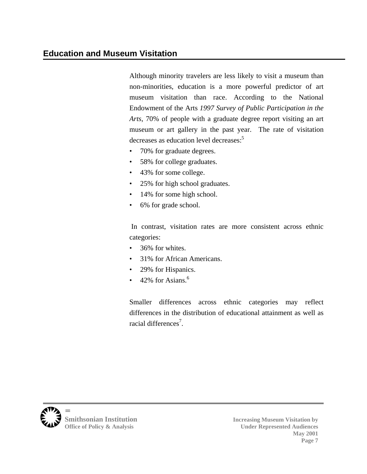Although minority travelers are less likely to visit a museum than non-minorities, education is a more powerful predictor of art museum visitation than race. According to the National Endowment of the Arts *1997 Survey of Public Participation in the Arts*, 70% of people with a graduate degree report visiting an art museum or art gallery in the past year. The rate of visitation decreases as education level decreases:<sup>5</sup>

- 70% for graduate degrees.
- 58% for college graduates.
- 43% for some college.
- 25% for high school graduates.
- 14% for some high school.
- 6% for grade school.

 In contrast, visitation rates are more consistent across ethnic categories:

- 36% for whites.
- 31% for African Americans.
- 29% for Hispanics.
- 42% for Asians.<sup>6</sup>

Smaller differences across ethnic categories may reflect differences in the distribution of educational attainment as well as racial differences<sup>7</sup>.



**Office of Policy & Analysis Contract Policy Analysis Contract Policy Analysis Contract Policy Analysis Contract Policy Analysis Contract Policy Analysis Contract Policy Analysis Contract Policy Analysis Contract Policy An May 2001 Page 7**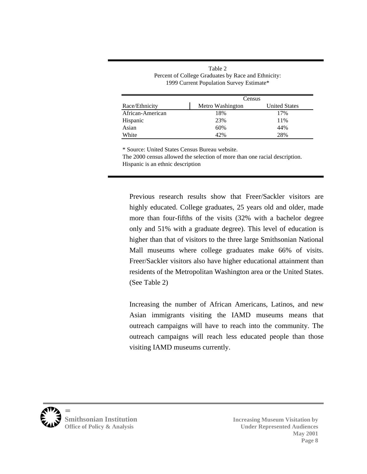|                  | Census           |                      |  |
|------------------|------------------|----------------------|--|
| Race/Ethnicity   | Metro Washington | <b>United States</b> |  |
| African-American | 18%              | 17%                  |  |
| Hispanic         | 23%              | 11%                  |  |
| Asian            | 60%              | 44%                  |  |
| White            | 42%              | 28%                  |  |

Table 2 Percent of College Graduates by Race and Ethnicity: 1999 Current Population Survey Estimate\*

\* Source: United States Census Bureau website.

The 2000 census allowed the selection of more than one racial description. Hispanic is an ethnic description

Previous research results show that Freer/Sackler visitors are highly educated. College graduates, 25 years old and older, made more than four-fifths of the visits (32% with a bachelor degree only and 51% with a graduate degree). This level of education is higher than that of visitors to the three large Smithsonian National Mall museums where college graduates make 66% of visits. Freer/Sackler visitors also have higher educational attainment than residents of the Metropolitan Washington area or the United States. (See Table 2)

Increasing the number of African Americans, Latinos, and new Asian immigrants visiting the IAMD museums means that outreach campaigns will have to reach into the community. The outreach campaigns will reach less educated people than those visiting IAMD museums currently.



**Office of Policy & Analysis Contract Policy Analysis Contract Policy Analysis Contract Policy Analysis Contract Policy Analysis Contract Policy Analysis Contract Policy Analysis Contract Policy Analysis Contract Policy An May 2001 Page 8**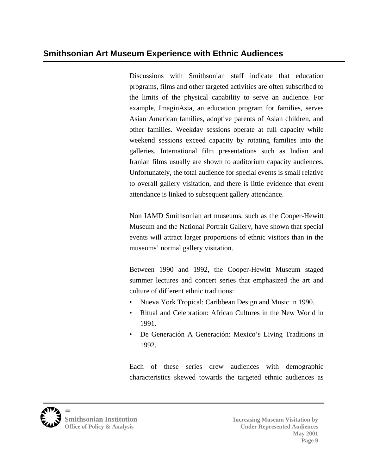### **Smithsonian Art Museum Experience with Ethnic Audiences**

Discussions with Smithsonian staff indicate that education programs, films and other targeted activities are often subscribed to the limits of the physical capability to serve an audience. For example, ImaginAsia, an education program for families, serves Asian American families, adoptive parents of Asian children, and other families. Weekday sessions operate at full capacity while weekend sessions exceed capacity by rotating families into the galleries. International film presentations such as Indian and Iranian films usually are shown to auditorium capacity audiences. Unfortunately, the total audience for special events is small relative to overall gallery visitation, and there is little evidence that event attendance is linked to subsequent gallery attendance.

Non IAMD Smithsonian art museums, such as the Cooper-Hewitt Museum and the National Portrait Gallery, have shown that special events will attract larger proportions of ethnic visitors than in the museums' normal gallery visitation.

Between 1990 and 1992, the Cooper-Hewitt Museum staged summer lectures and concert series that emphasized the art and culture of different ethnic traditions:

- Nueva York Tropical: Caribbean Design and Music in 1990.
- Ritual and Celebration: African Cultures in the New World in 1991.
- De Generación A Generación: Mexico's Living Traditions in 1992.

Each of these series drew audiences with demographic characteristics skewed towards the targeted ethnic audiences as

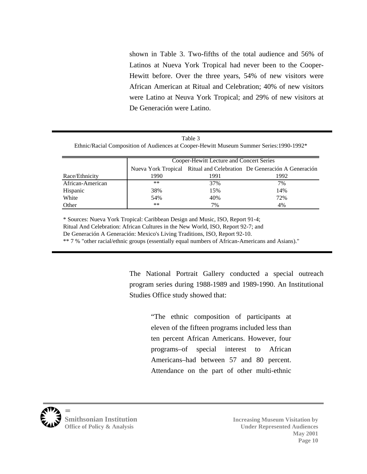shown in Table 3. Two-fifths of the total audience and 56% of Latinos at Nueva York Tropical had never been to the Cooper-Hewitt before. Over the three years, 54% of new visitors were African American at Ritual and Celebration; 40% of new visitors were Latino at Neuva York Tropical; and 29% of new visitors at De Generación were Latino.

| Table 3<br>Ethnic/Racial Composition of Audiences at Cooper-Hewitt Museum Summer Series: 1990-1992 <sup>*</sup> |                                          |
|-----------------------------------------------------------------------------------------------------------------|------------------------------------------|
|                                                                                                                 | Cooper-Hewitt Lecture and Concert Series |

|                  | cooper from the media concert before |      |                                                                       |  |
|------------------|--------------------------------------|------|-----------------------------------------------------------------------|--|
|                  |                                      |      | Nueva York Tropical Ritual and Celebration De Generación A Generación |  |
| Race/Ethnicity   | 1990                                 | 1991 | 1992                                                                  |  |
| African-American | $***$                                | 37%  | 7%                                                                    |  |
| Hispanic         | 38%                                  | 15%  | 14%                                                                   |  |
| White            | 54%                                  | 40%  | 72%                                                                   |  |
| Other            | $***$                                | 7%   | 4%                                                                    |  |

\* Sources: Nueva York Tropical: Caribbean Design and Music, ISO, Report 91-4; Ritual And Celebration: African Cultures in the New World, ISO, Report 92-7; and De Generación A Generación: Mexico's Living Traditions, ISO, Report 92-10.

\*\* 7 % "other racial/ethnic groups (essentially equal numbers of African-Americans and Asians)."

The National Portrait Gallery conducted a special outreach program series during 1988-1989 and 1989-1990. An Institutional Studies Office study showed that:

> "The ethnic composition of participants at eleven of the fifteen programs included less than ten percent African Americans. However, four programs–of special interest to African Americans–had between 57 and 80 percent. Attendance on the part of other multi-ethnic

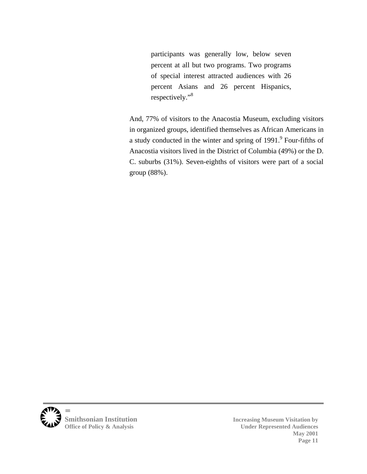participants was generally low, below seven percent at all but two programs. Two programs of special interest attracted audiences with 26 percent Asians and 26 percent Hispanics, respectively."<sup>8</sup>

And, 77% of visitors to the Anacostia Museum, excluding visitors in organized groups, identified themselves as African Americans in a study conducted in the winter and spring of 1991.<sup>9</sup> Four-fifths of Anacostia visitors lived in the District of Columbia (49%) or the D. C. suburbs (31%). Seven-eighths of visitors were part of a social group (88%).



**Smithsonian Institution**<br> **Increasing Museum Visitation by**<br> **Inder Represented Audiences Under Represented Audiences May 2001 Page 11**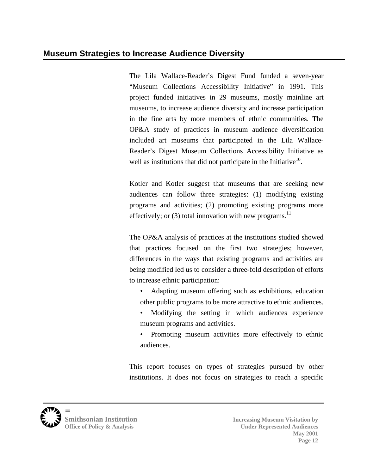The Lila Wallace-Reader's Digest Fund funded a seven-year "Museum Collections Accessibility Initiative" in 1991. This project funded initiatives in 29 museums, mostly mainline art museums, to increase audience diversity and increase participation in the fine arts by more members of ethnic communities. The OP&A study of practices in museum audience diversification included art museums that participated in the Lila Wallace-Reader's Digest Museum Collections Accessibility Initiative as well as institutions that did not participate in the Initiative<sup>10</sup>.

Kotler and Kotler suggest that museums that are seeking new audiences can follow three strategies: (1) modifying existing programs and activities; (2) promoting existing programs more effectively; or  $(3)$  total innovation with new programs.<sup>11</sup>

The OP&A analysis of practices at the institutions studied showed that practices focused on the first two strategies; however, differences in the ways that existing programs and activities are being modified led us to consider a three-fold description of efforts to increase ethnic participation:

- Adapting museum offering such as exhibitions, education other public programs to be more attractive to ethnic audiences.
- Modifying the setting in which audiences experience museum programs and activities.
- Promoting museum activities more effectively to ethnic audiences.

This report focuses on types of strategies pursued by other institutions. It does not focus on strategies to reach a specific

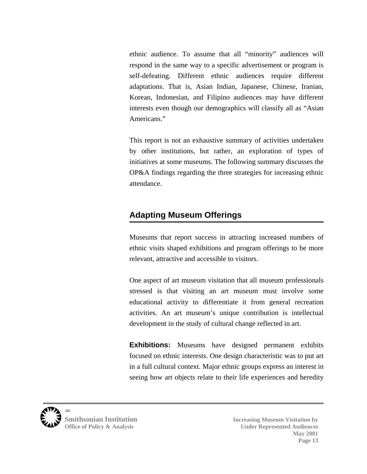ethnic audience. To assume that all "minority" audiences will respond in the same way to a specific advertisement or program is self-defeating. Different ethnic audiences require different adaptations. That is, Asian Indian, Japanese, Chinese, Iranian, Korean, Indonesian, and Filipino audiences may have different interests even though our demographics will classify all as "Asian Americans."

This report is not an exhaustive summary of activities undertaken by other institutions, but rather, an exploration of types of initiatives at some museums. The following summary discusses the OP&A findings regarding the three strategies for increasing ethnic attendance.

## **Adapting Museum Offerings**

Museums that report success in attracting increased numbers of ethnic visits shaped exhibitions and program offerings to be more relevant, attractive and accessible to visitors.

One aspect of art museum visitation that all museum professionals stressed is that visiting an art museum must involve some educational activity to differentiate it from general recreation activities. An art museum's unique contribution is intellectual development in the study of cultural change reflected in art.

**Exhibitions:** Museums have designed permanent exhibits focused on ethnic interests. One design characteristic was to put art in a full cultural context. Major ethnic groups express an interest in seeing how art objects relate to their life experiences and heredity



**Office of Policy & Analysis Contract Policy Analysis Contract Policy Analysis Contract Policy Analysis Contract Policy Analysis Contract Policy Analysis Contract Policy Analysis Contract Policy Analysis Contract Policy An May 2001 Page 13**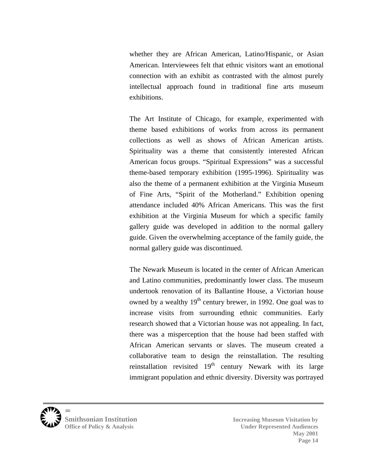whether they are African American, Latino/Hispanic, or Asian American. Interviewees felt that ethnic visitors want an emotional connection with an exhibit as contrasted with the almost purely intellectual approach found in traditional fine arts museum exhibitions.

The Art Institute of Chicago, for example, experimented with theme based exhibitions of works from across its permanent collections as well as shows of African American artists. Spirituality was a theme that consistently interested African American focus groups. "Spiritual Expressions" was a successful theme-based temporary exhibition (1995-1996). Spirituality was also the theme of a permanent exhibition at the Virginia Museum of Fine Arts, "Spirit of the Motherland." Exhibition opening attendance included 40% African Americans. This was the first exhibition at the Virginia Museum for which a specific family gallery guide was developed in addition to the normal gallery guide. Given the overwhelming acceptance of the family guide, the normal gallery guide was discontinued.

The Newark Museum is located in the center of African American and Latino communities, predominantly lower class. The museum undertook renovation of its Ballantine House, a Victorian house owned by a wealthy  $19<sup>th</sup>$  century brewer, in 1992. One goal was to increase visits from surrounding ethnic communities. Early research showed that a Victorian house was not appealing. In fact, there was a misperception that the house had been staffed with African American servants or slaves. The museum created a collaborative team to design the reinstallation. The resulting reinstallation revisited  $19<sup>th</sup>$  century Newark with its large immigrant population and ethnic diversity. Diversity was portrayed

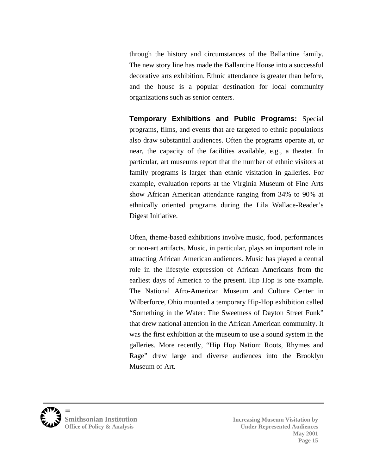through the history and circumstances of the Ballantine family. The new story line has made the Ballantine House into a successful decorative arts exhibition. Ethnic attendance is greater than before, and the house is a popular destination for local community organizations such as senior centers.

**Temporary Exhibitions and Public Programs:** Special programs, films, and events that are targeted to ethnic populations also draw substantial audiences. Often the programs operate at, or near, the capacity of the facilities available, e.g., a theater. In particular, art museums report that the number of ethnic visitors at family programs is larger than ethnic visitation in galleries. For example, evaluation reports at the Virginia Museum of Fine Arts show African American attendance ranging from 34% to 90% at ethnically oriented programs during the Lila Wallace-Reader's Digest Initiative.

Often, theme-based exhibitions involve music, food, performances or non-art artifacts. Music, in particular, plays an important role in attracting African American audiences. Music has played a central role in the lifestyle expression of African Americans from the earliest days of America to the present. Hip Hop is one example. The National Afro-American Museum and Culture Center in Wilberforce, Ohio mounted a temporary Hip-Hop exhibition called "Something in the Water: The Sweetness of Dayton Street Funk" that drew national attention in the African American community. It was the first exhibition at the museum to use a sound system in the galleries. More recently, "Hip Hop Nation: Roots, Rhymes and Rage" drew large and diverse audiences into the Brooklyn Museum of Art.

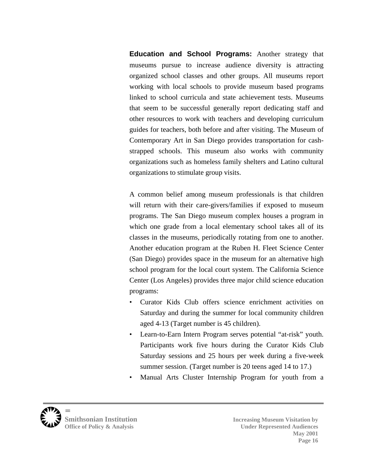**Education and School Programs:** Another strategy that museums pursue to increase audience diversity is attracting organized school classes and other groups. All museums report working with local schools to provide museum based programs linked to school curricula and state achievement tests. Museums that seem to be successful generally report dedicating staff and other resources to work with teachers and developing curriculum guides for teachers, both before and after visiting. The Museum of Contemporary Art in San Diego provides transportation for cashstrapped schools. This museum also works with community organizations such as homeless family shelters and Latino cultural organizations to stimulate group visits.

A common belief among museum professionals is that children will return with their care-givers/families if exposed to museum programs. The San Diego museum complex houses a program in which one grade from a local elementary school takes all of its classes in the museums, periodically rotating from one to another. Another education program at the Ruben H. Fleet Science Center (San Diego) provides space in the museum for an alternative high school program for the local court system. The California Science Center (Los Angeles) provides three major child science education programs:

- Curator Kids Club offers science enrichment activities on Saturday and during the summer for local community children aged 4-13 (Target number is 45 children).
- Learn-to-Earn Intern Program serves potential "at-risk" youth. Participants work five hours during the Curator Kids Club Saturday sessions and 25 hours per week during a five-week summer session. (Target number is 20 teens aged 14 to 17.)
- Manual Arts Cluster Internship Program for youth from a

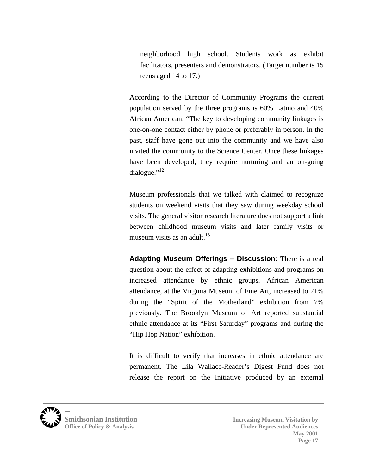neighborhood high school. Students work as exhibit facilitators, presenters and demonstrators. (Target number is 15 teens aged 14 to 17.)

According to the Director of Community Programs the current population served by the three programs is 60% Latino and 40% African American. "The key to developing community linkages is one-on-one contact either by phone or preferably in person. In the past, staff have gone out into the community and we have also invited the community to the Science Center. Once these linkages have been developed, they require nurturing and an on-going dialogue." $^{12}$ 

Museum professionals that we talked with claimed to recognize students on weekend visits that they saw during weekday school visits. The general visitor research literature does not support a link between childhood museum visits and later family visits or museum visits as an adult. $^{13}$ 

**Adapting Museum Offerings – Discussion:** There is a real question about the effect of adapting exhibitions and programs on increased attendance by ethnic groups. African American attendance, at the Virginia Museum of Fine Art, increased to 21% during the "Spirit of the Motherland" exhibition from 7% previously. The Brooklyn Museum of Art reported substantial ethnic attendance at its "First Saturday" programs and during the "Hip Hop Nation" exhibition.

It is difficult to verify that increases in ethnic attendance are permanent. The Lila Wallace-Reader's Digest Fund does not release the report on the Initiative produced by an external

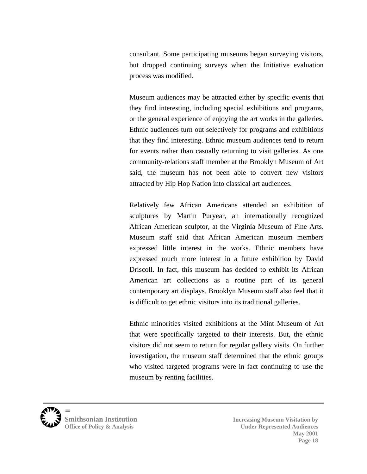consultant. Some participating museums began surveying visitors, but dropped continuing surveys when the Initiative evaluation process was modified.

Museum audiences may be attracted either by specific events that they find interesting, including special exhibitions and programs, or the general experience of enjoying the art works in the galleries. Ethnic audiences turn out selectively for programs and exhibitions that they find interesting. Ethnic museum audiences tend to return for events rather than casually returning to visit galleries. As one community-relations staff member at the Brooklyn Museum of Art said, the museum has not been able to convert new visitors attracted by Hip Hop Nation into classical art audiences.

Relatively few African Americans attended an exhibition of sculptures by Martin Puryear, an internationally recognized African American sculptor, at the Virginia Museum of Fine Arts. Museum staff said that African American museum members expressed little interest in the works. Ethnic members have expressed much more interest in a future exhibition by David Driscoll. In fact, this museum has decided to exhibit its African American art collections as a routine part of its general contemporary art displays. Brooklyn Museum staff also feel that it is difficult to get ethnic visitors into its traditional galleries.

Ethnic minorities visited exhibitions at the Mint Museum of Art that were specifically targeted to their interests. But, the ethnic visitors did not seem to return for regular gallery visits. On further investigation, the museum staff determined that the ethnic groups who visited targeted programs were in fact continuing to use the museum by renting facilities.

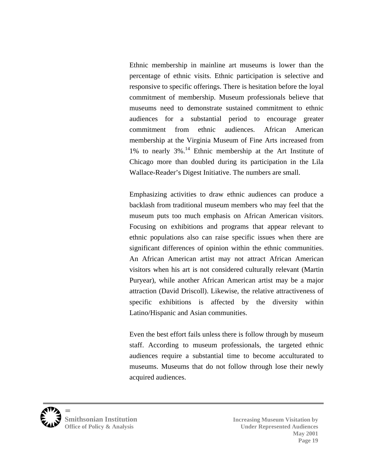Ethnic membership in mainline art museums is lower than the percentage of ethnic visits. Ethnic participation is selective and responsive to specific offerings. There is hesitation before the loyal commitment of membership. Museum professionals believe that museums need to demonstrate sustained commitment to ethnic audiences for a substantial period to encourage greater commitment from ethnic audiences. African American membership at the Virginia Museum of Fine Arts increased from 1% to nearly  $3\%$ .<sup>14</sup> Ethnic membership at the Art Institute of Chicago more than doubled during its participation in the Lila Wallace-Reader's Digest Initiative. The numbers are small.

Emphasizing activities to draw ethnic audiences can produce a backlash from traditional museum members who may feel that the museum puts too much emphasis on African American visitors. Focusing on exhibitions and programs that appear relevant to ethnic populations also can raise specific issues when there are significant differences of opinion within the ethnic communities. An African American artist may not attract African American visitors when his art is not considered culturally relevant (Martin Puryear), while another African American artist may be a major attraction (David Driscoll). Likewise, the relative attractiveness of specific exhibitions is affected by the diversity within Latino/Hispanic and Asian communities.

Even the best effort fails unless there is follow through by museum staff. According to museum professionals, the targeted ethnic audiences require a substantial time to become acculturated to museums. Museums that do not follow through lose their newly acquired audiences.

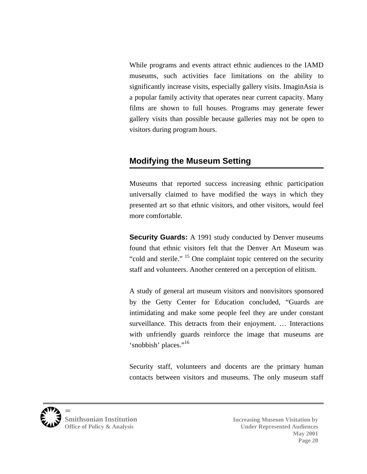While programs and events attract ethnic audiences to the IAMD museums, such activities face limitations on the ability to significantly increase visits, especially gallery visits. ImaginAsia is a popular family activity that operates near current capacity. Many films are shown to full houses. Programs may generate fewer gallery visits than possible because galleries may not be open to visitors during program hours.

## **Modifying the Museum Setting**

Museums that reported success increasing ethnic participation universally claimed to have modified the ways in which they presented art so that ethnic visitors, and other visitors, would feel more comfortable.

**Security Guards:** A 1991 study conducted by Denver museums found that ethnic visitors felt that the Denver Art Museum was "cold and sterile." <sup>15</sup> One complaint topic centered on the security staff and volunteers. Another centered on a perception of elitism.

A study of general art museum visitors and nonvisitors sponsored by the Getty Center for Education concluded, "Guards are intimidating and make some people feel they are under constant surveillance. This detracts from their enjoyment. … Interactions with unfriendly guards reinforce the image that museums are 'snobbish' places."<sup>16</sup>

Security staff, volunteers and docents are the primary human contacts between visitors and museums. The only museum staff

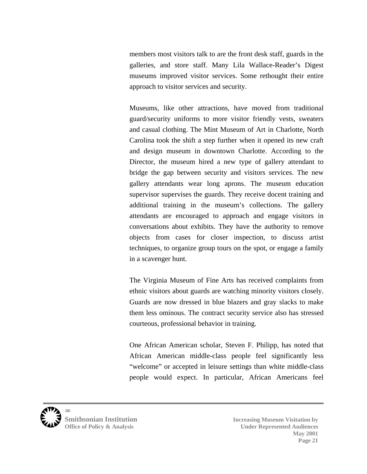members most visitors talk to are the front desk staff, guards in the galleries, and store staff. Many Lila Wallace-Reader's Digest museums improved visitor services. Some rethought their entire approach to visitor services and security.

Museums, like other attractions, have moved from traditional guard/security uniforms to more visitor friendly vests, sweaters and casual clothing. The Mint Museum of Art in Charlotte, North Carolina took the shift a step further when it opened its new craft and design museum in downtown Charlotte. According to the Director, the museum hired a new type of gallery attendant to bridge the gap between security and visitors services. The new gallery attendants wear long aprons. The museum education supervisor supervises the guards. They receive docent training and additional training in the museum's collections. The gallery attendants are encouraged to approach and engage visitors in conversations about exhibits. They have the authority to remove objects from cases for closer inspection, to discuss artist techniques, to organize group tours on the spot, or engage a family in a scavenger hunt.

The Virginia Museum of Fine Arts has received complaints from ethnic visitors about guards are watching minority visitors closely. Guards are now dressed in blue blazers and gray slacks to make them less ominous. The contract security service also has stressed courteous, professional behavior in training.

One African American scholar, Steven F. Philipp, has noted that African American middle-class people feel significantly less "welcome" or accepted in leisure settings than white middle-class people would expect. In particular, African Americans feel



**Office of Policy & Analysis Under Represented Audiences May 2001 Page 21**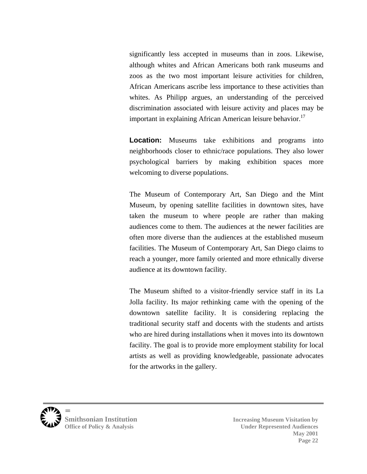significantly less accepted in museums than in zoos. Likewise, although whites and African Americans both rank museums and zoos as the two most important leisure activities for children, African Americans ascribe less importance to these activities than whites. As Philipp argues, an understanding of the perceived discrimination associated with leisure activity and places may be important in explaining African American leisure behavior.<sup>17</sup>

**Location:** Museums take exhibitions and programs into neighborhoods closer to ethnic/race populations. They also lower psychological barriers by making exhibition spaces more welcoming to diverse populations.

The Museum of Contemporary Art, San Diego and the Mint Museum, by opening satellite facilities in downtown sites, have taken the museum to where people are rather than making audiences come to them. The audiences at the newer facilities are often more diverse than the audiences at the established museum facilities. The Museum of Contemporary Art, San Diego claims to reach a younger, more family oriented and more ethnically diverse audience at its downtown facility.

The Museum shifted to a visitor-friendly service staff in its La Jolla facility. Its major rethinking came with the opening of the downtown satellite facility. It is considering replacing the traditional security staff and docents with the students and artists who are hired during installations when it moves into its downtown facility. The goal is to provide more employment stability for local artists as well as providing knowledgeable, passionate advocates for the artworks in the gallery.



**Office of Policy & Analysis Under Represented Audiences May 2001 Page 22**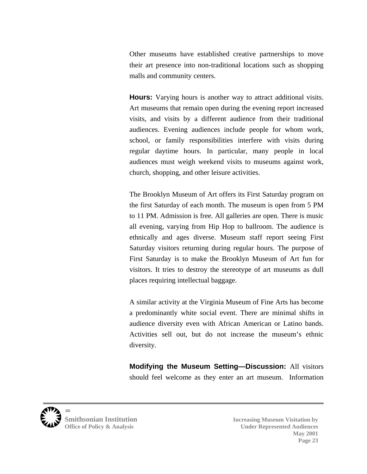Other museums have established creative partnerships to move their art presence into non-traditional locations such as shopping malls and community centers.

**Hours:** Varying hours is another way to attract additional visits. Art museums that remain open during the evening report increased visits, and visits by a different audience from their traditional audiences. Evening audiences include people for whom work, school, or family responsibilities interfere with visits during regular daytime hours. In particular, many people in local audiences must weigh weekend visits to museums against work, church, shopping, and other leisure activities.

The Brooklyn Museum of Art offers its First Saturday program on the first Saturday of each month. The museum is open from 5 PM to 11 PM. Admission is free. All galleries are open. There is music all evening, varying from Hip Hop to ballroom. The audience is ethnically and ages diverse. Museum staff report seeing First Saturday visitors returning during regular hours. The purpose of First Saturday is to make the Brooklyn Museum of Art fun for visitors. It tries to destroy the stereotype of art museums as dull places requiring intellectual baggage.

A similar activity at the Virginia Museum of Fine Arts has become a predominantly white social event. There are minimal shifts in audience diversity even with African American or Latino bands. Activities sell out, but do not increase the museum's ethnic diversity.

**Modifying the Museum Setting—Discussion:** All visitors should feel welcome as they enter an art museum. Information

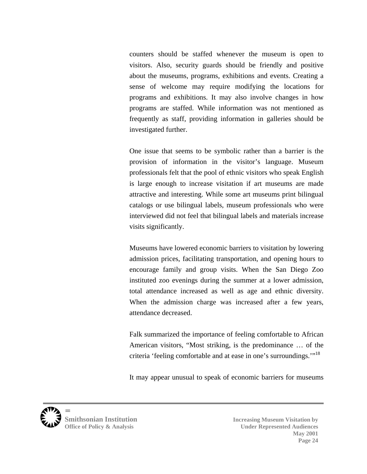counters should be staffed whenever the museum is open to visitors. Also, security guards should be friendly and positive about the museums, programs, exhibitions and events. Creating a sense of welcome may require modifying the locations for programs and exhibitions. It may also involve changes in how programs are staffed. While information was not mentioned as frequently as staff, providing information in galleries should be investigated further.

One issue that seems to be symbolic rather than a barrier is the provision of information in the visitor's language. Museum professionals felt that the pool of ethnic visitors who speak English is large enough to increase visitation if art museums are made attractive and interesting. While some art museums print bilingual catalogs or use bilingual labels, museum professionals who were interviewed did not feel that bilingual labels and materials increase visits significantly.

Museums have lowered economic barriers to visitation by lowering admission prices, facilitating transportation, and opening hours to encourage family and group visits. When the San Diego Zoo instituted zoo evenings during the summer at a lower admission, total attendance increased as well as age and ethnic diversity. When the admission charge was increased after a few years, attendance decreased.

Falk summarized the importance of feeling comfortable to African American visitors, "Most striking, is the predominance … of the criteria 'feeling comfortable and at ease in one's surroundings.'"<sup>18</sup>

It may appear unusual to speak of economic barriers for museums

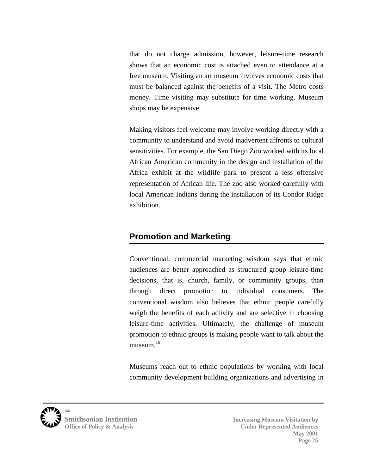that do not charge admission, however, leisure-time research shows that an economic cost is attached even to attendance at a free museum. Visiting an art museum involves economic costs that must be balanced against the benefits of a visit. The Metro costs money. Time visiting may substitute for time working. Museum shops may be expensive.

Making visitors feel welcome may involve working directly with a community to understand and avoid inadvertent affronts to cultural sensitivities. For example, the San Diego Zoo worked with its local African American community in the design and installation of the Africa exhibit at the wildlife park to present a less offensive representation of African life. The zoo also worked carefully with local American Indians during the installation of its Condor Ridge exhibition.

## **Promotion and Marketing**

Conventional, commercial marketing wisdom says that ethnic audiences are better approached as structured group leisure-time decisions, that is, church, family, or community groups, than through direct promotion to individual consumers. The conventional wisdom also believes that ethnic people carefully weigh the benefits of each activity and are selective in choosing leisure-time activities. Ultimately, the challenge of museum promotion to ethnic groups is making people want to talk about the museum $19$ 

Museums reach out to ethnic populations by working with local community development building organizations and advertising in

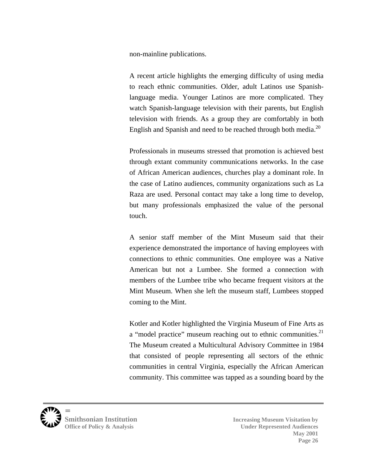non-mainline publications.

A recent article highlights the emerging difficulty of using media to reach ethnic communities. Older, adult Latinos use Spanishlanguage media. Younger Latinos are more complicated. They watch Spanish-language television with their parents, but English television with friends. As a group they are comfortably in both English and Spanish and need to be reached through both media. $^{20}$ 

Professionals in museums stressed that promotion is achieved best through extant community communications networks. In the case of African American audiences, churches play a dominant role. In the case of Latino audiences, community organizations such as La Raza are used. Personal contact may take a long time to develop, but many professionals emphasized the value of the personal touch.

A senior staff member of the Mint Museum said that their experience demonstrated the importance of having employees with connections to ethnic communities. One employee was a Native American but not a Lumbee. She formed a connection with members of the Lumbee tribe who became frequent visitors at the Mint Museum. When she left the museum staff, Lumbees stopped coming to the Mint.

Kotler and Kotler highlighted the Virginia Museum of Fine Arts as a "model practice" museum reaching out to ethnic communities.<sup>21</sup> The Museum created a Multicultural Advisory Committee in 1984 that consisted of people representing all sectors of the ethnic communities in central Virginia, especially the African American community. This committee was tapped as a sounding board by the

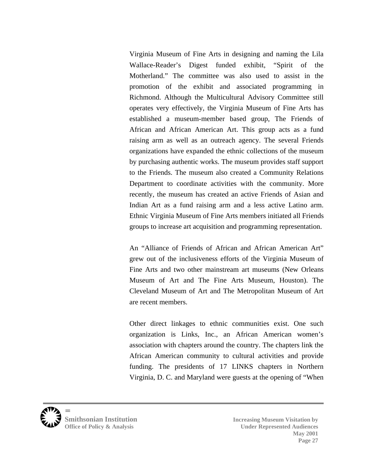Virginia Museum of Fine Arts in designing and naming the Lila Wallace-Reader's Digest funded exhibit, "Spirit of the Motherland." The committee was also used to assist in the promotion of the exhibit and associated programming in Richmond. Although the Multicultural Advisory Committee still operates very effectively, the Virginia Museum of Fine Arts has established a museum-member based group, The Friends of African and African American Art. This group acts as a fund raising arm as well as an outreach agency. The several Friends organizations have expanded the ethnic collections of the museum by purchasing authentic works. The museum provides staff support to the Friends. The museum also created a Community Relations Department to coordinate activities with the community. More recently, the museum has created an active Friends of Asian and Indian Art as a fund raising arm and a less active Latino arm. Ethnic Virginia Museum of Fine Arts members initiated all Friends groups to increase art acquisition and programming representation.

An "Alliance of Friends of African and African American Art" grew out of the inclusiveness efforts of the Virginia Museum of Fine Arts and two other mainstream art museums (New Orleans Museum of Art and The Fine Arts Museum, Houston). The Cleveland Museum of Art and The Metropolitan Museum of Art are recent members.

Other direct linkages to ethnic communities exist. One such organization is Links, Inc., an African American women's association with chapters around the country. The chapters link the African American community to cultural activities and provide funding. The presidents of 17 LINKS chapters in Northern Virginia, D. C. and Maryland were guests at the opening of "When



**Office of Policy & Analysis Under Represented Audiences May 2001 Page 27**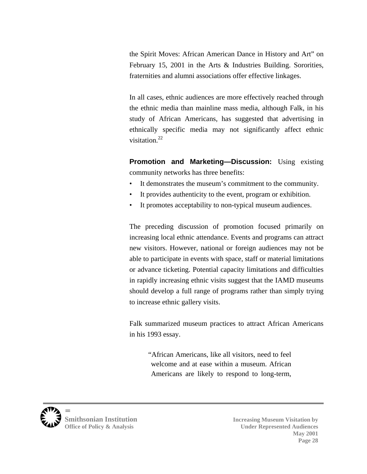the Spirit Moves: African American Dance in History and Art" on February 15, 2001 in the Arts & Industries Building. Sororities, fraternities and alumni associations offer effective linkages.

In all cases, ethnic audiences are more effectively reached through the ethnic media than mainline mass media, although Falk, in his study of African Americans, has suggested that advertising in ethnically specific media may not significantly affect ethnic visitation<sup>22</sup>

**Promotion and Marketing—Discussion:** Using existing community networks has three benefits:

- It demonstrates the museum's commitment to the community.
- It provides authenticity to the event, program or exhibition.
- It promotes acceptability to non-typical museum audiences.

The preceding discussion of promotion focused primarily on increasing local ethnic attendance. Events and programs can attract new visitors. However, national or foreign audiences may not be able to participate in events with space, staff or material limitations or advance ticketing. Potential capacity limitations and difficulties in rapidly increasing ethnic visits suggest that the IAMD museums should develop a full range of programs rather than simply trying to increase ethnic gallery visits.

Falk summarized museum practices to attract African Americans in his 1993 essay.

"African Americans, like all visitors, need to feel welcome and at ease within a museum. African Americans are likely to respond to long-term,

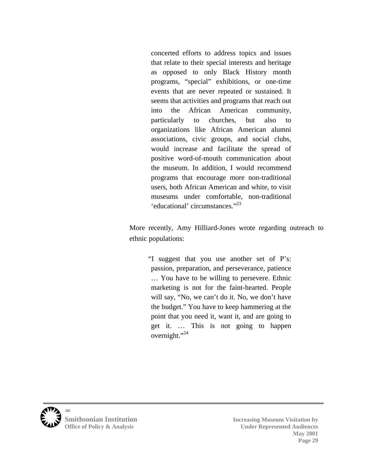concerted efforts to address topics and issues that relate to their special interests and heritage as opposed to only Black History month programs, "special" exhibitions, or one-time events that are never repeated or sustained. It seems that activities and programs that reach out into the African American community, particularly to churches, but also to organizations like African American alumni associations, civic groups, and social clubs, would increase and facilitate the spread of positive word-of-mouth communication about the museum. In addition, I would recommend programs that encourage more non-traditional users, both African American and white, to visit museums under comfortable, non-traditional 'educational' circumstances."23

More recently, Amy Hilliard-Jones wrote regarding outreach to ethnic populations:

"I suggest that you use another set of P's: passion, preparation, and perseverance, patience … You have to be willing to persevere. Ethnic marketing is not for the faint-hearted. People will say, "No, we can't do it. No, we don't have the budget." You have to keep hammering at the point that you need it, want it, and are going to get it. … This is not going to happen overnight."<sup>24</sup>



**Under Represented Audiences May 2001 Page 29**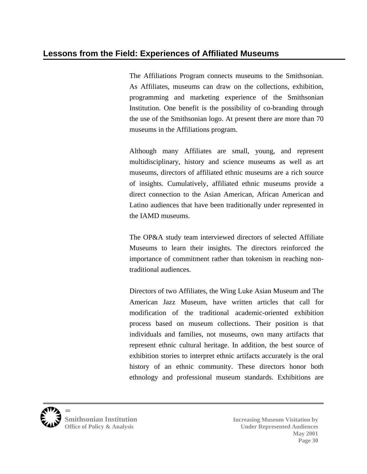The Affiliations Program connects museums to the Smithsonian. As Affiliates, museums can draw on the collections, exhibition, programming and marketing experience of the Smithsonian Institution. One benefit is the possibility of co-branding through the use of the Smithsonian logo. At present there are more than 70 museums in the Affiliations program.

Although many Affiliates are small, young, and represent multidisciplinary, history and science museums as well as art museums, directors of affiliated ethnic museums are a rich source of insights. Cumulatively, affiliated ethnic museums provide a direct connection to the Asian American, African American and Latino audiences that have been traditionally under represented in the IAMD museums.

The OP&A study team interviewed directors of selected Affiliate Museums to learn their insights. The directors reinforced the importance of commitment rather than tokenism in reaching nontraditional audiences.

Directors of two Affiliates, the Wing Luke Asian Museum and The American Jazz Museum, have written articles that call for modification of the traditional academic-oriented exhibition process based on museum collections. Their position is that individuals and families, not museums, own many artifacts that represent ethnic cultural heritage. In addition, the best source of exhibition stories to interpret ethnic artifacts accurately is the oral history of an ethnic community. These directors honor both ethnology and professional museum standards. Exhibitions are

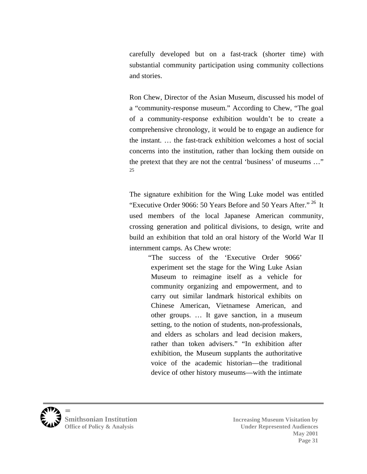carefully developed but on a fast-track (shorter time) with substantial community participation using community collections and stories.

Ron Chew, Director of the Asian Museum, discussed his model of a "community-response museum." According to Chew, "The goal of a community-response exhibition wouldn't be to create a comprehensive chronology, it would be to engage an audience for the instant. … the fast-track exhibition welcomes a host of social concerns into the institution, rather than locking them outside on the pretext that they are not the central 'business' of museums …" 25

The signature exhibition for the Wing Luke model was entitled "Executive Order 9066: 50 Years Before and 50 Years After."<sup>26</sup> It used members of the local Japanese American community, crossing generation and political divisions, to design, write and build an exhibition that told an oral history of the World War II internment camps. As Chew wrote:

"The success of the 'Executive Order 9066' experiment set the stage for the Wing Luke Asian Museum to reimagine itself as a vehicle for community organizing and empowerment, and to carry out similar landmark historical exhibits on Chinese American, Vietnamese American, and other groups. … It gave sanction, in a museum setting, to the notion of students, non-professionals, and elders as scholars and lead decision makers, rather than token advisers." "In exhibition after exhibition, the Museum supplants the authoritative voice of the academic historian—the traditional device of other history museums—with the intimate



**Office of Policy & Analysis Contract Policy Analysis Contract Policy Analysis Contract Policy Analysis Contract Policy Analysis Contract Policy Analysis Contract Policy Analysis Contract Policy Analysis Contract Policy An May 2001 Page 31**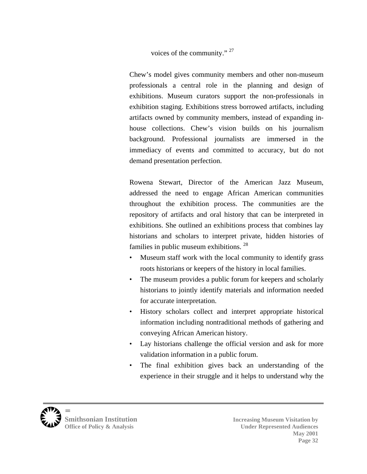#### voices of the community." <sup>27</sup>

Chew's model gives community members and other non-museum professionals a central role in the planning and design of exhibitions. Museum curators support the non-professionals in exhibition staging. Exhibitions stress borrowed artifacts, including artifacts owned by community members, instead of expanding inhouse collections. Chew's vision builds on his journalism background. Professional journalists are immersed in the immediacy of events and committed to accuracy, but do not demand presentation perfection.

Rowena Stewart, Director of the American Jazz Museum, addressed the need to engage African American communities throughout the exhibition process. The communities are the repository of artifacts and oral history that can be interpreted in exhibitions. She outlined an exhibitions process that combines lay historians and scholars to interpret private, hidden histories of families in public museum exhibitions. <sup>28</sup>

- Museum staff work with the local community to identify grass roots historians or keepers of the history in local families.
- The museum provides a public forum for keepers and scholarly historians to jointly identify materials and information needed for accurate interpretation.
- History scholars collect and interpret appropriate historical information including nontraditional methods of gathering and conveying African American history.
- Lay historians challenge the official version and ask for more validation information in a public forum.
- The final exhibition gives back an understanding of the experience in their struggle and it helps to understand why the

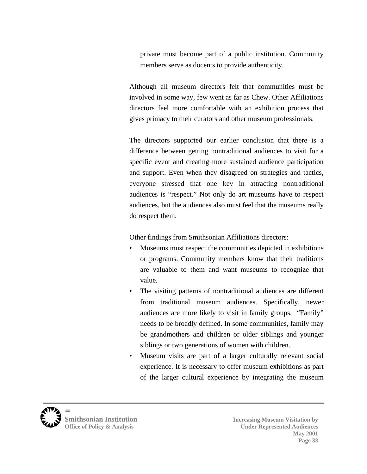private must become part of a public institution. Community members serve as docents to provide authenticity.

Although all museum directors felt that communities must be involved in some way, few went as far as Chew. Other Affiliations directors feel more comfortable with an exhibition process that gives primacy to their curators and other museum professionals.

The directors supported our earlier conclusion that there is a difference between getting nontraditional audiences to visit for a specific event and creating more sustained audience participation and support. Even when they disagreed on strategies and tactics, everyone stressed that one key in attracting nontraditional audiences is "respect." Not only do art museums have to respect audiences, but the audiences also must feel that the museums really do respect them.

Other findings from Smithsonian Affiliations directors:

- Museums must respect the communities depicted in exhibitions or programs. Community members know that their traditions are valuable to them and want museums to recognize that value.
- The visiting patterns of nontraditional audiences are different from traditional museum audiences. Specifically, newer audiences are more likely to visit in family groups. "Family" needs to be broadly defined. In some communities, family may be grandmothers and children or older siblings and younger siblings or two generations of women with children.
- Museum visits are part of a larger culturally relevant social experience. It is necessary to offer museum exhibitions as part of the larger cultural experience by integrating the museum

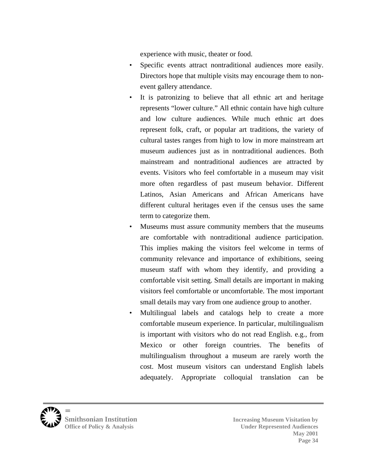experience with music, theater or food.

- Specific events attract nontraditional audiences more easily. Directors hope that multiple visits may encourage them to nonevent gallery attendance.
- It is patronizing to believe that all ethnic art and heritage represents "lower culture." All ethnic contain have high culture and low culture audiences. While much ethnic art does represent folk, craft, or popular art traditions, the variety of cultural tastes ranges from high to low in more mainstream art museum audiences just as in nontraditional audiences. Both mainstream and nontraditional audiences are attracted by events. Visitors who feel comfortable in a museum may visit more often regardless of past museum behavior. Different Latinos, Asian Americans and African Americans have different cultural heritages even if the census uses the same term to categorize them.
- Museums must assure community members that the museums are comfortable with nontraditional audience participation. This implies making the visitors feel welcome in terms of community relevance and importance of exhibitions, seeing museum staff with whom they identify, and providing a comfortable visit setting. Small details are important in making visitors feel comfortable or uncomfortable. The most important small details may vary from one audience group to another.
- Multilingual labels and catalogs help to create a more comfortable museum experience. In particular, multilingualism is important with visitors who do not read English. e.g., from Mexico or other foreign countries. The benefits of multilingualism throughout a museum are rarely worth the cost. Most museum visitors can understand English labels adequately. Appropriate colloquial translation can be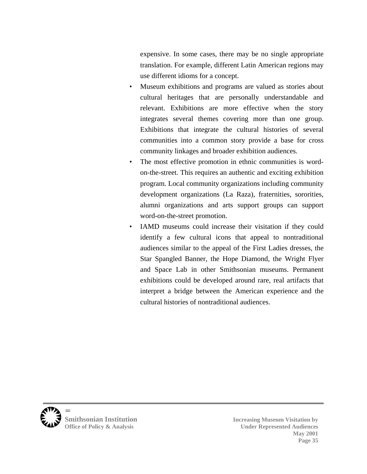expensive. In some cases, there may be no single appropriate translation. For example, different Latin American regions may use different idioms for a concept.

- Museum exhibitions and programs are valued as stories about cultural heritages that are personally understandable and relevant. Exhibitions are more effective when the story integrates several themes covering more than one group. Exhibitions that integrate the cultural histories of several communities into a common story provide a base for cross community linkages and broader exhibition audiences.
- The most effective promotion in ethnic communities is wordon-the-street. This requires an authentic and exciting exhibition program. Local community organizations including community development organizations (La Raza), fraternities, sororities, alumni organizations and arts support groups can support word-on-the-street promotion.
- IAMD museums could increase their visitation if they could identify a few cultural icons that appeal to nontraditional audiences similar to the appeal of the First Ladies dresses, the Star Spangled Banner, the Hope Diamond, the Wright Flyer and Space Lab in other Smithsonian museums. Permanent exhibitions could be developed around rare, real artifacts that interpret a bridge between the American experience and the cultural histories of nontraditional audiences.

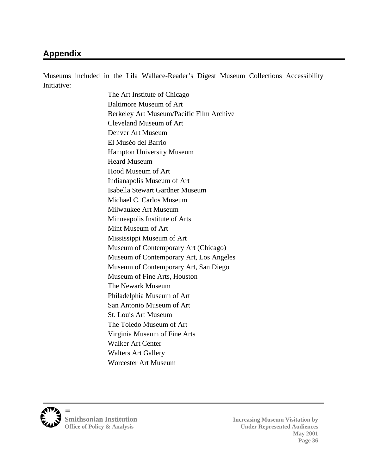### **Appendix**

Museums included in the Lila Wallace-Reader's Digest Museum Collections Accessibility Initiative:

> The Art Institute of Chicago Baltimore Museum of Art Berkeley Art Museum/Pacific Film Archive Cleveland Museum of Art Denver Art Museum El Muséo del Barrio Hampton University Museum Heard Museum Hood Museum of Art Indianapolis Museum of Art Isabella Stewart Gardner Museum Michael C. Carlos Museum Milwaukee Art Museum Minneapolis Institute of Arts Mint Museum of Art Mississippi Museum of Art Museum of Contemporary Art (Chicago) Museum of Contemporary Art, Los Angeles Museum of Contemporary Art, San Diego Museum of Fine Arts, Houston The Newark Museum Philadelphia Museum of Art San Antonio Museum of Art St. Louis Art Museum The Toledo Museum of Art Virginia Museum of Fine Arts Walker Art Center Walters Art Gallery Worcester Art Museum

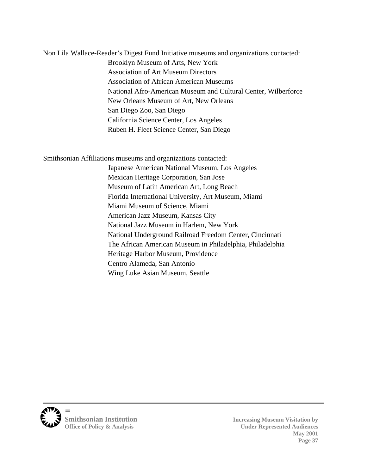Non Lila Wallace-Reader's Digest Fund Initiative museums and organizations contacted: Brooklyn Museum of Arts, New York Association of Art Museum Directors Association of African American Museums National Afro-American Museum and Cultural Center, Wilberforce New Orleans Museum of Art, New Orleans San Diego Zoo, San Diego California Science Center, Los Angeles Ruben H. Fleet Science Center, San Diego

Smithsonian Affiliations museums and organizations contacted: Japanese American National Museum, Los Angeles Mexican Heritage Corporation, San Jose Museum of Latin American Art, Long Beach Florida International University, Art Museum, Miami Miami Museum of Science, Miami American Jazz Museum, Kansas City National Jazz Museum in Harlem, New York National Underground Railroad Freedom Center, Cincinnati The African American Museum in Philadelphia, Philadelphia Heritage Harbor Museum, Providence Centro Alameda, San Antonio Wing Luke Asian Museum, Seattle



**Smithsonian Institution**<br> **Increasing Museum Visitation by**<br> **Office of Policy & Analysis**<br> **Index Represented Audiences Under Represented Audiences May 2001 Page 37**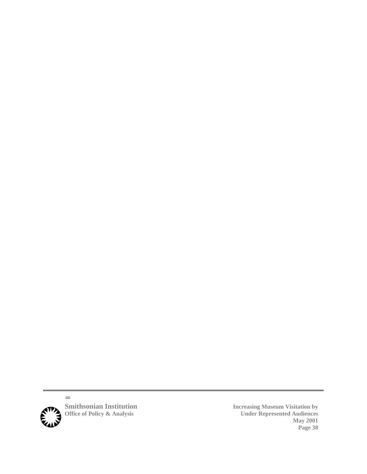

**=**<br>**Smithsonian Institution**<br>Office of Policy & Analysis

**Smithsonian Institution Increasing Museum Visitation by Office of Policy & Analysis Under Represented Audiences May 2001 Page 38**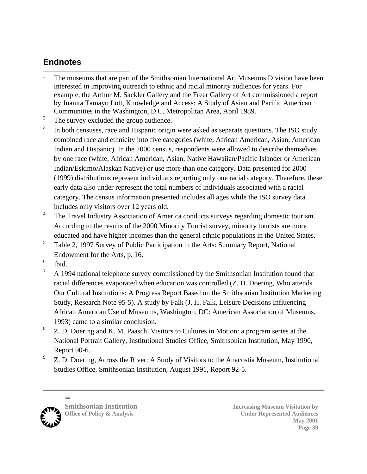# **Endnotes**

- -1 The museums that are part of the Smithsonian International Art Museums Division have been interested in improving outreach to ethnic and racial minority audiences for years. For example, the Arthur M. Sackler Gallery and the Freer Gallery of Art commissioned a report by Juanita Tamayo Lott, Knowledge and Access: A Study of Asian and Pacific American Communities in the Washington, D.C. Metropolitan Area, April 1989.
- 2 The survey excluded the group audience.
- 3 In both censuses, race and Hispanic origin were asked as separate questions. The ISO study combined race and ethnicity into five categories (white, African American, Asian, American Indian and Hispanic). In the 2000 census, respondents were allowed to describe themselves by one race (white, African American, Asian, Native Hawaiian/Pacific Islander or American Indian/Eskimo/Alaskan Native) or use more than one category. Data presented for 2000 (1999) distributions represent individuals reporting only one racial category. Therefore, these early data also under represent the total numbers of individuals associated with a racial category. The census information presented includes all ages while the ISO survey data includes only visitors over 12 years old.
- 4 The Travel Industry Association of America conducts surveys regarding domestic tourism. According to the results of the 2000 Minority Tourist survey, minority tourists are more educated and have higher incomes than the general ethnic populations in the United States.
- 5 Table 2, 1997 Survey of Public Participation in the Arts: Summary Report, National Endowment for the Arts, p. 16.
- 6 Ibid.
- 7 A 1994 national telephone survey commissioned by the Smithsonian Institution found that racial differences evaporated when education was controlled (Z. D. Doering, Who attends Our Cultural Institutions: A Progress Report Based on the Smithsonian Institution Marketing Study, Research Note 95-5). A study by Falk (J. H. Falk, Leisure Decisions Influencing African American Use of Museums, Washington, DC: American Association of Museums, 1993) came to a similar conclusion.
- 8 Z. D. Doering and K. M. Paasch, Visitors to Cultures in Motion: a program series at the National Portrait Gallery, Institutional Studies Office, Smithsonian Institution, May 1990, Report 90-6.
- 9 Z. D. Doering, Across the River: A Study of Visitors to the Anacostia Museum, Institutional Studies Office, Smithsonian Institution, August 1991, Report 92-5.



**=**

**Smithsonian Institution**<br> **Increasing Museum Visitation by**<br> **Office of Policy & Analysis**<br> **Index Represented Audiences Under Represented Audiences May 2001 Page 39**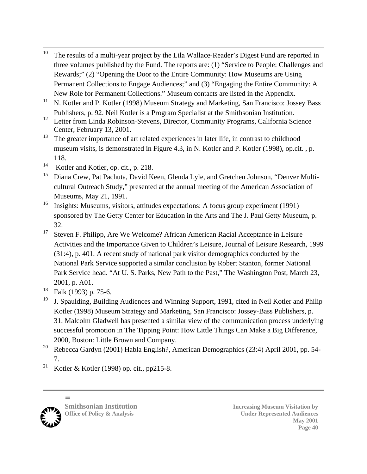- <sup>10</sup> The results of a multi-year project by the Lila Wallace-Reader's Digest Fund are reported in three volumes published by the Fund. The reports are: (1) "Service to People: Challenges and Rewards;" (2) "Opening the Door to the Entire Community: How Museums are Using Permanent Collections to Engage Audiences;" and (3) "Engaging the Entire Community: A New Role for Permanent Collections." Museum contacts are listed in the Appendix.
- <sup>11</sup> N. Kotler and P. Kotler (1998) Museum Strategy and Marketing, San Francisco: Jossey Bass Publishers, p. 92. Neil Kotler is a Program Specialist at the Smithsonian Institution.
- <sup>12</sup> Letter from Linda Robinson-Stevens, Director, Community Programs, California Science Center, February 13, 2001.
- $13$  The greater importance of art related experiences in later life, in contrast to childhood museum visits, is demonstrated in Figure 4.3, in N. Kotler and P. Kotler (1998), op.cit. , p. 118.
- <sup>14</sup> Kotler and Kotler, op. cit., p. 218.
- <sup>15</sup> Diana Crew, Pat Pachuta, David Keen, Glenda Lyle, and Gretchen Johnson, "Denver Multicultural Outreach Study," presented at the annual meeting of the American Association of Museums, May 21, 1991.
- <sup>16</sup> Insights: Museums, visitors, attitudes expectations: A focus group experiment (1991) sponsored by The Getty Center for Education in the Arts and The J. Paul Getty Museum, p. 32.
- <sup>17</sup> Steven F. Philipp, Are We Welcome? African American Racial Acceptance in Leisure Activities and the Importance Given to Children's Leisure, Journal of Leisure Research, 1999 (31:4), p. 401. A recent study of national park visitor demographics conducted by the National Park Service supported a similar conclusion by Robert Stanton, former National Park Service head. "At U. S. Parks, New Path to the Past," The Washington Post, March 23, 2001, p. A01.
- $18$  Falk (1993) p. 75-6.
- <sup>19</sup> J. Spaulding, Building Audiences and Winning Support, 1991, cited in Neil Kotler and Philip Kotler (1998) Museum Strategy and Marketing, San Francisco: Jossey-Bass Publishers, p. 31. Malcolm Gladwell has presented a similar view of the communication process underlying successful promotion in The Tipping Point: How Little Things Can Make a Big Difference, 2000, Boston: Little Brown and Company.
- <sup>20</sup> Rebecca Gardyn (2001) Habla English?, American Demographics (23:4) April 2001, pp. 54-7.
- <sup>21</sup> Kotler & Kotler (1998) op. cit., pp215-8.



**=**

**Smithsonian Institution**<br> **Increasing Museum Visitation by**<br> **Office of Policy & Analysis**<br> **Increasing Museum Visitation by**<br> **Inder Represented Audiences Under Represented Audiences May 2001 Page 40**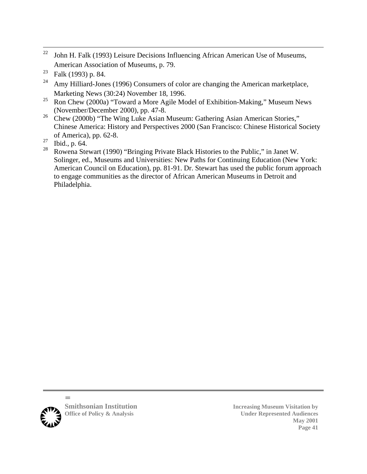<sup>22</sup> John H. Falk (1993) Leisure Decisions Influencing African American Use of Museums, American Association of Museums, p. 79.

- <sup>24</sup> Amy Hilliard-Jones (1996) Consumers of color are changing the American marketplace, Marketing News (30:24) November 18, 1996.
- <sup>25</sup> Ron Chew (2000a) "Toward a More Agile Model of Exhibition-Making," Museum News (November/December 2000), pp. 47-8.
- <sup>26</sup> Chew (2000b) "The Wing Luke Asian Museum: Gathering Asian American Stories," Chinese America: History and Perspectives 2000 (San Francisco: Chinese Historical Society of America), pp. 62-8.
- $rac{27}{28}$  Ibid., p. 64.
- 28 Rowena Stewart (1990) "Bringing Private Black Histories to the Public," in Janet W. Solinger, ed., Museums and Universities: New Paths for Continuing Education (New York: American Council on Education), pp. 81-91. Dr. Stewart has used the public forum approach to engage communities as the director of African American Museums in Detroit and Philadelphia.



**Smithsonian Institution and Increasing Museum Visitation by China Branch Control of Policy & Analysis Control of Branch Control of The Presented Audiences Under Represented Audiences May 2001 Page 41**

<sup>&</sup>lt;sup>23</sup> Falk (1993) p. 84.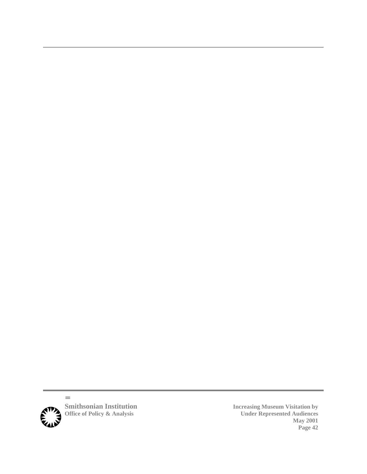

j

**=**<br>**Smithsonian Institution**<br>Office of Policy & Analysis

**Smithsonian Institution Increasing Museum Visitation by Office of Policy & Analysis Under Represented Audiences May 2001 Page 42**